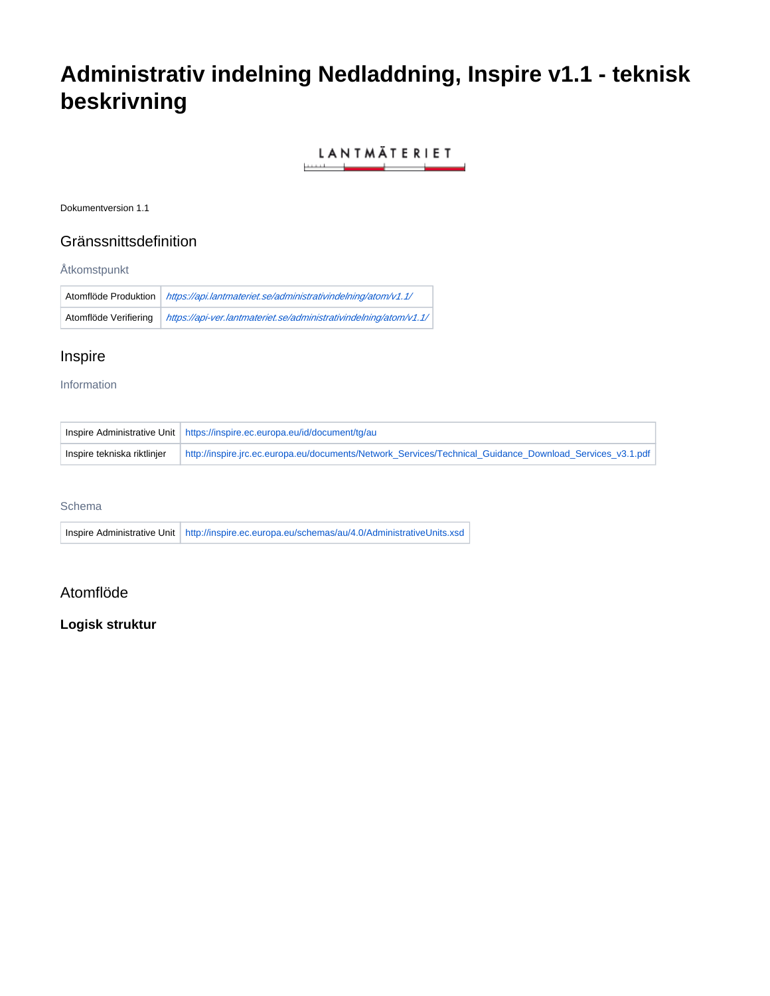# **Administrativ indelning Nedladdning, Inspire v1.1 - teknisk beskrivning**

LANTMÄTERIET <u> Electronic Communication (Communication Communication (Communication Communication Communication Communication Communication (Communication Communication Communication Communication Communication Communication Communicat</u>

Dokumentversion 1.1

## Gränssnittsdefinition

#### Åtkomstpunkt

| Atomflöde Produktion  | https://api.lantmateriet.se/administrativindelning/atom/v1.1/     |
|-----------------------|-------------------------------------------------------------------|
| Atomflöde Verifiering | https://api-ver.lantmateriet.se/administrativindelning/atom/v1.1/ |

# Inspire

#### Information

|                             | Inspire Administrative Unit https://inspire.ec.europa.eu/id/document/tg/au                               |
|-----------------------------|----------------------------------------------------------------------------------------------------------|
| Inspire tekniska riktlinjer | http://inspire.jrc.ec.europa.eu/documents/Network Services/Technical Guidance Download Services v3.1.pdf |

#### Schema

|  | Inspire Administrative Unit http://inspire.ec.europa.eu/schemas/au/4.0/AdministrativeUnits.xsd |
|--|------------------------------------------------------------------------------------------------|
|  |                                                                                                |

## Atomflöde

### **Logisk struktur**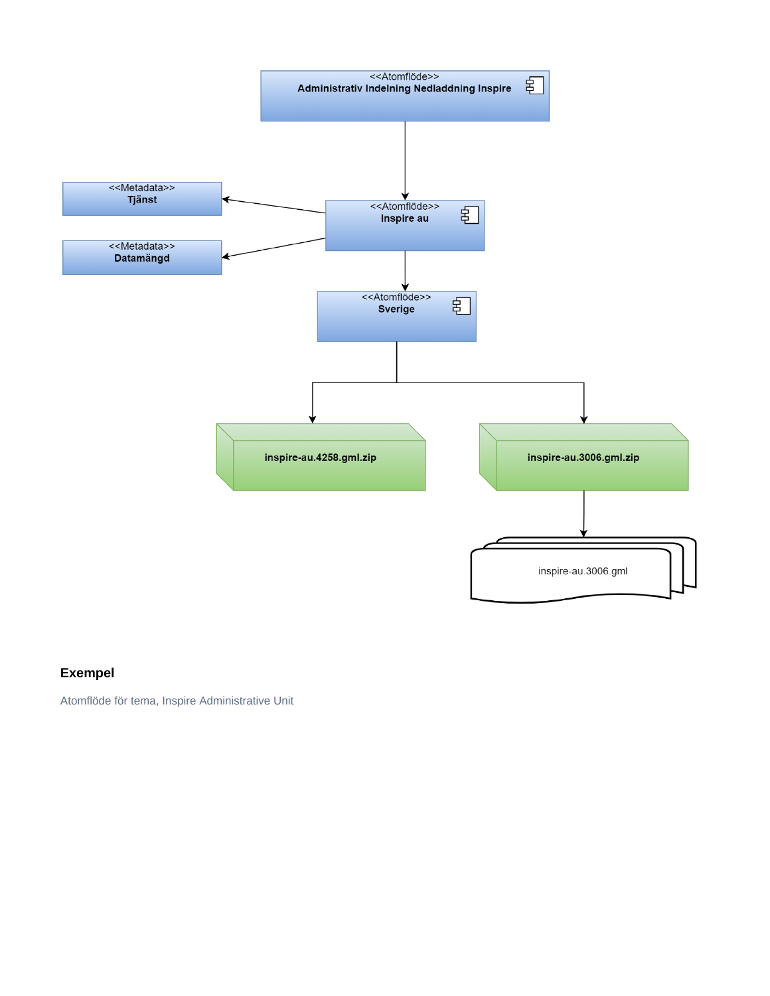

# **Exempel**

Atomflöde för tema, Inspire Administrative Unit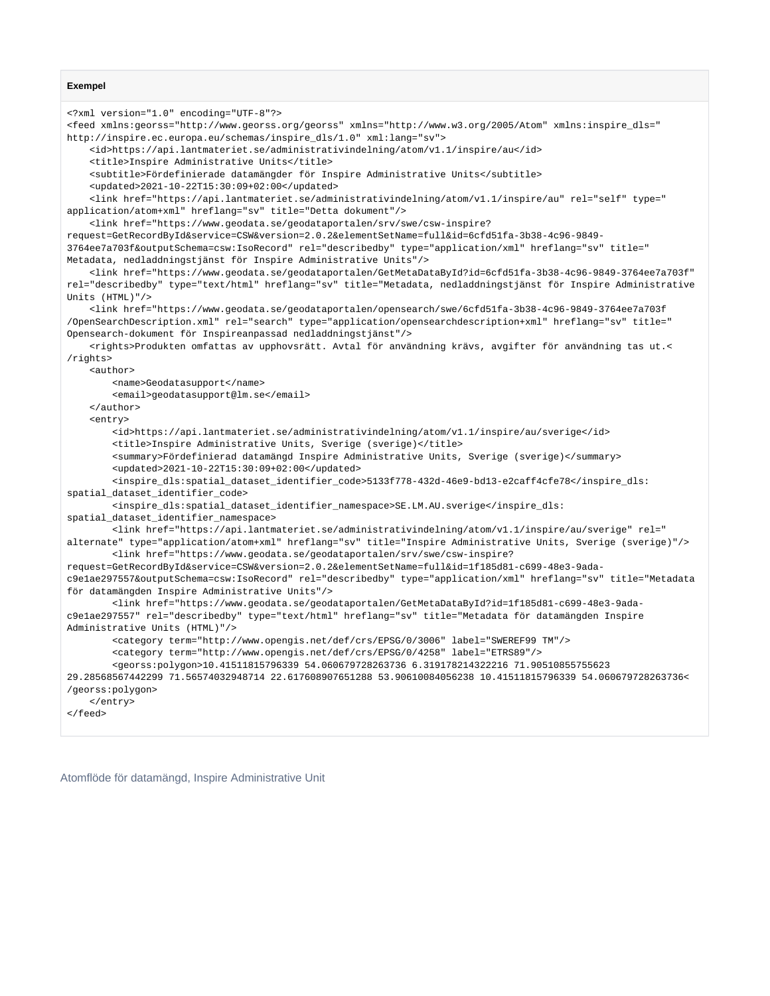```
Exempel
```

```
<?xml version="1.0" encoding="UTF-8"?>
<feed xmlns:georss="http://www.georss.org/georss" xmlns="http://www.w3.org/2005/Atom" xmlns:inspire_dls="
http://inspire.ec.europa.eu/schemas/inspire_dls/1.0" xml:lang="sv">
    <id>https://api.lantmateriet.se/administrativindelning/atom/v1.1/inspire/au</id>
    <title>Inspire Administrative Units</title>
    <subtitle>Fördefinierade datamängder för Inspire Administrative Units</subtitle>
     <updated>2021-10-22T15:30:09+02:00</updated>
     <link href="https://api.lantmateriet.se/administrativindelning/atom/v1.1/inspire/au" rel="self" type="
application/atom+xml" hreflang="sv" title="Detta dokument"/>
    <link href="https://www.geodata.se/geodataportalen/srv/swe/csw-inspire?
request=GetRecordById&service=CSW&version=2.0.2&elementSetName=full&id=6cfd51fa-3b38-4c96-9849-
3764ee7a703f&outputSchema=csw:IsoRecord" rel="describedby" type="application/xml" hreflang="sv" title="
Metadata, nedladdningstjänst för Inspire Administrative Units"/>
     <link href="https://www.geodata.se/geodataportalen/GetMetaDataById?id=6cfd51fa-3b38-4c96-9849-3764ee7a703f" 
rel="describedby" type="text/html" hreflang="sv" title="Metadata, nedladdningstjänst för Inspire Administrative 
Units (HTML)"/>
    <link href="https://www.geodata.se/geodataportalen/opensearch/swe/6cfd51fa-3b38-4c96-9849-3764ee7a703f
/OpenSearchDescription.xml" rel="search" type="application/opensearchdescription+xml" hreflang="sv" title="
Opensearch-dokument för Inspireanpassad nedladdningstjänst"/>
    <rights>Produkten omfattas av upphovsrätt. Avtal för användning krävs, avgifter för användning tas ut.<
/rights>
    <author>
        <name>Geodatasupport</name>
        <email>geodatasupport@lm.se</email>
    </author>
     <entry>
         <id>https://api.lantmateriet.se/administrativindelning/atom/v1.1/inspire/au/sverige</id>
         <title>Inspire Administrative Units, Sverige (sverige)</title>
         <summary>Fördefinierad datamängd Inspire Administrative Units, Sverige (sverige)</summary>
        <updated>2021-10-22T15:30:09+02:00</updated>
        <inspire_dls:spatial_dataset_identifier_code>5133f778-432d-46e9-bd13-e2caff4cfe78</inspire_dls:
spatial_dataset_identifier_code>
        <inspire_dls:spatial_dataset_identifier_namespace>SE.LM.AU.sverige</inspire_dls:
spatial_dataset_identifier_namespace>
        <link href="https://api.lantmateriet.se/administrativindelning/atom/v1.1/inspire/au/sverige" rel="
alternate" type="application/atom+xml" hreflang="sv" title="Inspire Administrative Units, Sverige (sverige)"/>
        <link href="https://www.geodata.se/geodataportalen/srv/swe/csw-inspire?
request=GetRecordById&service=CSW&version=2.0.2&elementSetName=full&id=1f185d81-c699-48e3-9ada-
c9e1ae297557&outputSchema=csw:IsoRecord" rel="describedby" type="application/xml" hreflang="sv" title="Metadata 
för datamängden Inspire Administrative Units"/>
         <link href="https://www.geodata.se/geodataportalen/GetMetaDataById?id=1f185d81-c699-48e3-9ada-
c9e1ae297557" rel="describedby" type="text/html" hreflang="sv" title="Metadata för datamängden Inspire 
Administrative Units (HTML)"/>
        <category term="http://www.opengis.net/def/crs/EPSG/0/3006" label="SWEREF99 TM"/>
        <category term="http://www.opengis.net/def/crs/EPSG/0/4258" label="ETRS89"/>
        <georss:polygon>10.41511815796339 54.060679728263736 6.319178214322216 71.90510855755623 
29.28568567442299 71.56574032948714 22.617608907651288 53.90610084056238 10.41511815796339 54.060679728263736<
/georss:polygon>
    </entry>
</feed>
```
Atomflöde för datamängd, Inspire Administrative Unit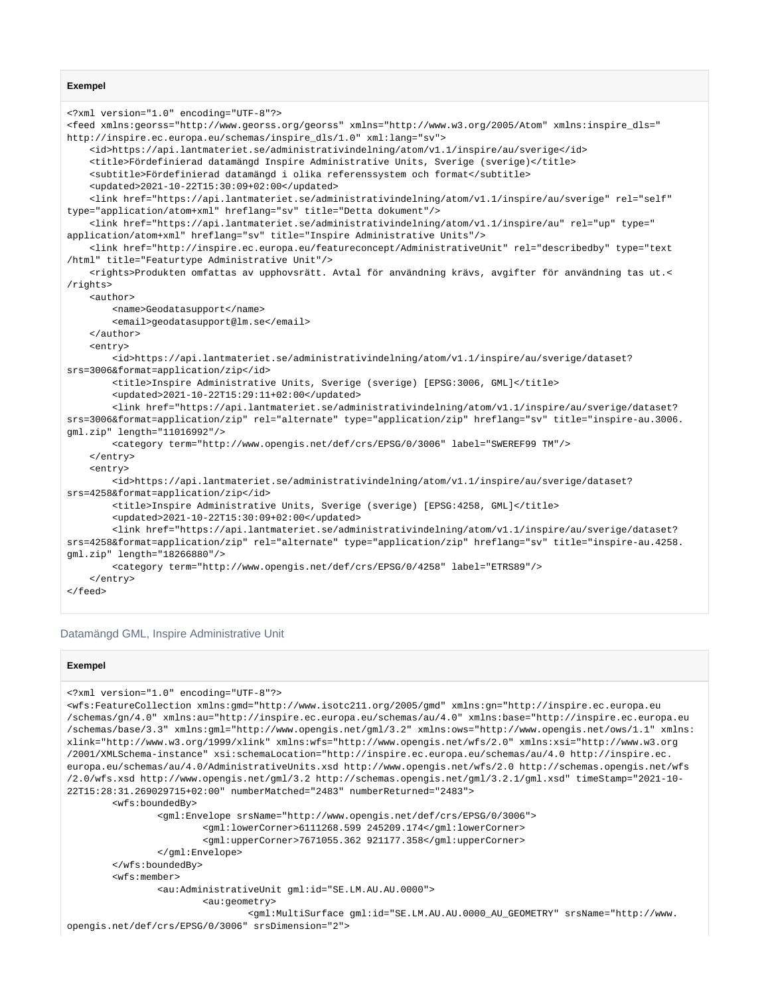#### **Exempel**

```
<?xml version="1.0" encoding="UTF-8"?>
<feed xmlns:georss="http://www.georss.org/georss" xmlns="http://www.w3.org/2005/Atom" xmlns:inspire_dls="
http://inspire.ec.europa.eu/schemas/inspire_dls/1.0" xml:lang="sv">
    <id>https://api.lantmateriet.se/administrativindelning/atom/v1.1/inspire/au/sverige</id>
    <title>Fördefinierad datamängd Inspire Administrative Units, Sverige (sverige)</title>
    <subtitle>Fördefinierad datamängd i olika referenssystem och format</subtitle>
     <updated>2021-10-22T15:30:09+02:00</updated>
     <link href="https://api.lantmateriet.se/administrativindelning/atom/v1.1/inspire/au/sverige" rel="self" 
type="application/atom+xml" hreflang="sv" title="Detta dokument"/>
    <link href="https://api.lantmateriet.se/administrativindelning/atom/v1.1/inspire/au" rel="up" type="
application/atom+xml" hreflang="sv" title="Inspire Administrative Units"/>
     <link href="http://inspire.ec.europa.eu/featureconcept/AdministrativeUnit" rel="describedby" type="text
/html" title="Featurtype Administrative Unit"/>
    <rights>Produkten omfattas av upphovsrätt. Avtal för användning krävs, avgifter för användning tas ut.<
/rights>
     <author>
         <name>Geodatasupport</name>
        <email>geodatasupport@lm.se</email>
    </author>
     <entry>
         <id>https://api.lantmateriet.se/administrativindelning/atom/v1.1/inspire/au/sverige/dataset?
srs=3006&format=application/zip</id>
         <title>Inspire Administrative Units, Sverige (sverige) [EPSG:3006, GML]</title>
         <updated>2021-10-22T15:29:11+02:00</updated>
         <link href="https://api.lantmateriet.se/administrativindelning/atom/v1.1/inspire/au/sverige/dataset?
srs=3006&format=application/zip" rel="alternate" type="application/zip" hreflang="sv" title="inspire-au.3006.
gml.zip" length="11016992"/>
         <category term="http://www.opengis.net/def/crs/EPSG/0/3006" label="SWEREF99 TM"/>
   \epsilon/entrys
    <entry>
        <id>https://api.lantmateriet.se/administrativindelning/atom/v1.1/inspire/au/sverige/dataset?
srs=4258&format=application/zip</id>
        <title>Inspire Administrative Units, Sverige (sverige) [EPSG:4258, GML]</title>
         <updated>2021-10-22T15:30:09+02:00</updated>
         <link href="https://api.lantmateriet.se/administrativindelning/atom/v1.1/inspire/au/sverige/dataset?
srs=4258&format=application/zip" rel="alternate" type="application/zip" hreflang="sv" title="inspire-au.4258.
gml.zip" length="18266880"/>
         <category term="http://www.opengis.net/def/crs/EPSG/0/4258" label="ETRS89"/>
     </entry>
</feed>
```
#### Datamängd GML, Inspire Administrative Unit

#### **Exempel**

```
<?xml version="1.0" encoding="UTF-8"?>
<wfs:FeatureCollection xmlns:gmd="http://www.isotc211.org/2005/gmd" xmlns:gn="http://inspire.ec.europa.eu
/schemas/gn/4.0" xmlns:au="http://inspire.ec.europa.eu/schemas/au/4.0" xmlns:base="http://inspire.ec.europa.eu
/schemas/base/3.3" xmlns:gml="http://www.opengis.net/gml/3.2" xmlns:ows="http://www.opengis.net/ows/1.1" xmlns:
xlink="http://www.w3.org/1999/xlink" xmlns:wfs="http://www.opengis.net/wfs/2.0" xmlns:xsi="http://www.w3.org
/2001/XMLSchema-instance" xsi:schemaLocation="http://inspire.ec.europa.eu/schemas/au/4.0 http://inspire.ec.
europa.eu/schemas/au/4.0/AdministrativeUnits.xsd http://www.opengis.net/wfs/2.0 http://schemas.opengis.net/wfs
/2.0/wfs.xsd http://www.opengis.net/gml/3.2 http://schemas.opengis.net/gml/3.2.1/gml.xsd" timeStamp="2021-10-
22T15:28:31.269029715+02:00" numberMatched="2483" numberReturned="2483">
         <wfs:boundedBy>
                 <gml:Envelope srsName="http://www.opengis.net/def/crs/EPSG/0/3006">
                         <gml:lowerCorner>6111268.599 245209.174</gml:lowerCorner>
                         <gml:upperCorner>7671055.362 921177.358</gml:upperCorner>
                 </gml:Envelope>
         </wfs:boundedBy>
         <wfs:member>
                 <au:AdministrativeUnit gml:id="SE.LM.AU.AU.0000">
                         <au:geometry>
                                 <gml:MultiSurface gml:id="SE.LM.AU.AU.0000_AU_GEOMETRY" srsName="http://www.
opengis.net/def/crs/EPSG/0/3006" srsDimension="2">
```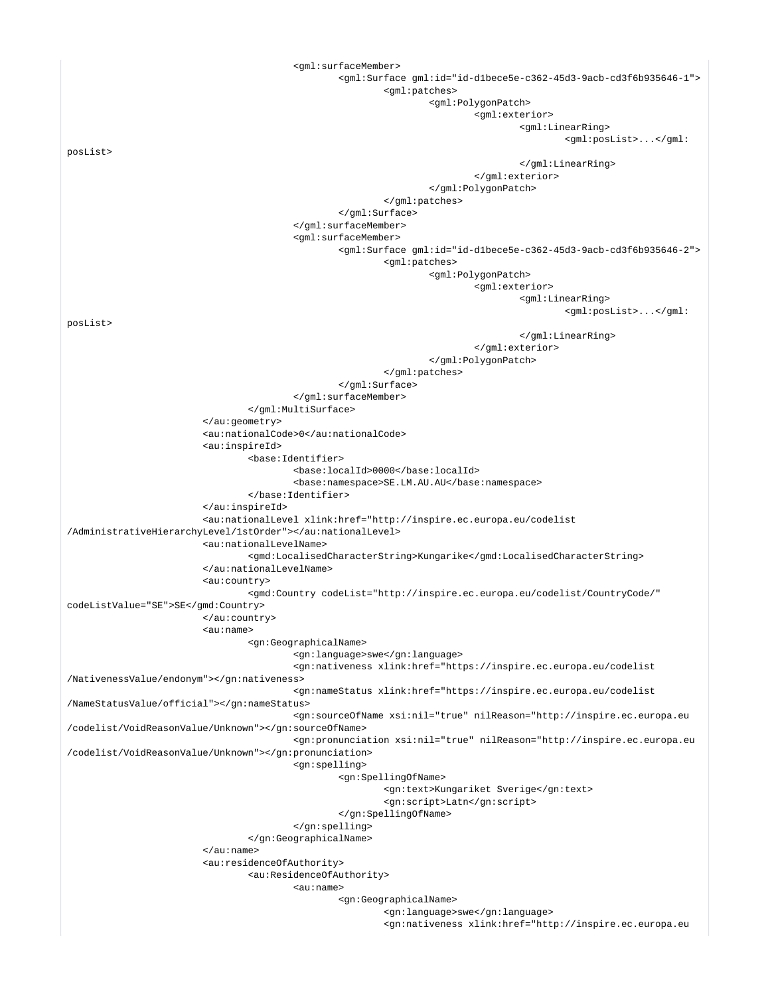